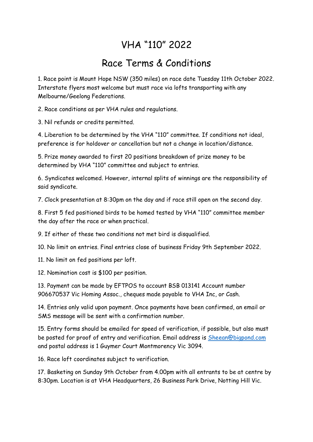## VHA "110" 2022

## Race Terms & Conditions

1. Race point is Mount Hope NSW (350 miles) on race date Tuesday 11th October 2022. Interstate flyers most welcome but must race via lofts transporting with any Melbourne/Geelong Federations.

2. Race conditions as per VHA rules and regulations.

3. Nil refunds or credits permitted.

4. Liberation to be determined by the VHA "110" committee. If conditions not ideal, preference is for holdover or cancellation but not a change in location/distance.

5. Prize money awarded to first 20 positions breakdown of prize money to be determined by VHA "110" committee and subject to entries.

6. Syndicates welcomed. However, internal splits of winnings are the responsibility of said syndicate.

7. Clock presentation at 8:30pm on the day and if race still open on the second day.

8. First 5 fed positioned birds to be homed tested by VHA "110" committee member the day after the race or when practical.

9. If either of these two conditions not met bird is disqualified.

10. No limit on entries. Final entries close of business Friday 9th September 2022.

11. No limit on fed positions per loft.

12. Nomination cost is \$100 per position.

13. Payment can be made by EFTPOS to account BSB 013141 Account number 906670537 Vic Homing Assoc., cheques made payable to VHA Inc, or Cash.

14. Entries only valid upon payment. Once payments have been confirmed, an email or SMS message will be sent with a confirmation number.

15. Entry forms should be emailed for speed of verification, if possible, but also must be posted for proof of entry and verification. Email address is [Sheean@bigpond.com](mailto:Sheean@bigpond.com) and postal address is 1 Guymer Court Montmorency Vic 3094.

16. Race loft coordinates subject to verification.

17. Basketing on Sunday 9th October from 4.00pm with all entrants to be at centre by 8:30pm. Location is at VHA Headquarters, 26 Business Park Drive, Notting Hill Vic.